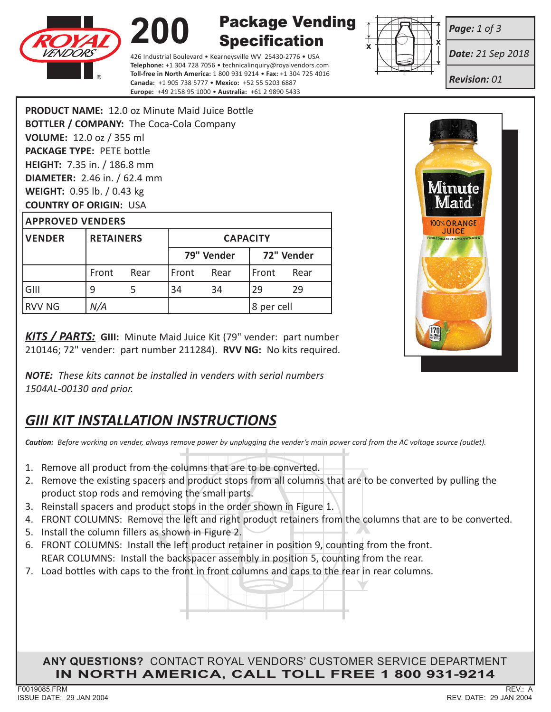



Package Vending **Specification** 

426 Industrial Boulevard • Kearneysville WV 25430-2776 • USA **Telephone:** +1 304 728 7056 • technicalinquiry@royalvendors.com **Toll-free in North America:** 1 800 931 9214 • **Fax:** +1 304 725 4016 **Canada:** +1 905 738 5777 • **Mexico:** +52 55 5203 6887 **Europe:** +49 2158 95 1000 • **Australia:** +61 2 9890 5433



*Date: 21 Sep 2018*

*Revision: 01*

*Page: 1 of 3*

|                                     |                                                 | PRODUCT NAME: 12.0 oz Minute Maid Juice Bottle |  |  |  |  |
|-------------------------------------|-------------------------------------------------|------------------------------------------------|--|--|--|--|
|                                     | <b>BOTTLER / COMPANY:</b> The Coca-Cola Company |                                                |  |  |  |  |
| VOLUME: 12.0 oz / 355 ml            |                                                 |                                                |  |  |  |  |
| <b>PACKAGE TYPE: PETE bottle</b>    |                                                 |                                                |  |  |  |  |
| <b>HEIGHT:</b> 7.35 in. / 186.8 mm  |                                                 |                                                |  |  |  |  |
| <b>DIAMETER:</b> 2.46 in. / 62.4 mm |                                                 |                                                |  |  |  |  |
| WEIGHT: 0.95 lb. / 0.43 kg          |                                                 |                                                |  |  |  |  |
| <b>COUNTRY OF ORIGIN: USA</b>       |                                                 |                                                |  |  |  |  |
| <b>APPROVED VENDERS</b>             |                                                 |                                                |  |  |  |  |
| <b>VENDER</b>                       | <b>RETAINERS</b>                                | <b>CAPAC</b>                                   |  |  |  |  |

| <b>VENDER</b> | <b>RETAINERS</b> |      | <b>CAPACITY</b> |            |               |            |
|---------------|------------------|------|-----------------|------------|---------------|------------|
|               |                  |      |                 | 79" Vender |               | 72" Vender |
|               | Front            | Rear | l Front         | Rear       | <b>IFront</b> | Rear       |
| GIII          | q                |      | 34              | 34         | 29            | 29         |
| <b>RVV NG</b> | N/A              |      |                 |            | 8 per cell    |            |

*KITS / PARTS:* **GIII:** Minute Maid Juice Kit (79" vender: part number 210146; 72" vender: part number 211284). **RVV NG:** No kits required.

*NOTE: These kits cannot be installed in venders with serial numbers 1504AL‑00130 and prior.*

# *GIII KIT INSTALLATION INSTRUCTIONS*

*Caution: Before working on vender, always remove power by unplugging the vender's main power cord from the AC voltage source (outlet).*

- 1. Remove all product from the columns that are to be converted.
- 2. Remove the existing spacers and product stops from all columns that are to be converted by pulling the product stop rods and removing the small parts.
- 3. Reinstall spacers and product stops in the order shown in Figure 1.
- 4. FRONT COLUMNS: Remove the left and right product retainers from the columns that are to be converted.
- 5. Install the column fillers as shown in Figure 2.
- 4. FRONT COLUMNS: Remove the left and right product retainers from the columns that are<br>5. Install the column fillers as shown in Figure 2.<br>6. FRONT COLUMNS: Install the left product retainer in position 9, counting from t REAR COLUMNS: Install the backspacer assembly in position 5, counting from the rear.
- 7. Load bottles with caps to the front in front columns and caps to the rear in rear columns.

**ANY QUESTIONS?** CONTACT ROYAL VENDORS' CUSTOMER SERVICE DEPARTMENT **IN NORTH AMERICA, CALL TOLL FREE 1 800 931-9214**



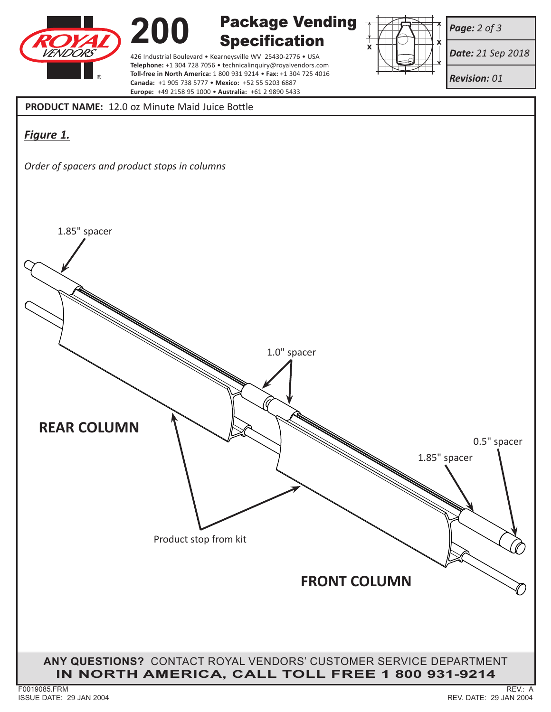



Package Vending Specification

426 Industrial Boulevard • Kearneysville WV 25430-2776 • USA **Telephone:** +1 304 728 7056 • technicalinquiry@royalvendors.com **Toll-free in North America:** 1 800 931 9214 • **Fax:** +1 304 725 4016 **Canada:** +1 905 738 5777 • **Mexico:** +52 55 5203 6887 **Europe:** +49 2158 95 1000 • **Australia:** +61 2 9890 5433



*Page: 2 of 3*

*Date: 21 Sep 2018*

*Revision: 01*

**PRODUCT NAME:** 12.0 oz Minute Maid Juice Bottle

## *Figure 1.*

*Order of spacers and product stops in columns*